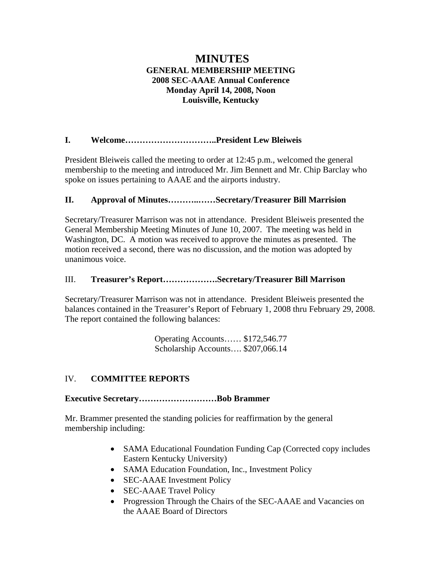# **MINUTES GENERAL MEMBERSHIP MEETING 2008 SEC-AAAE Annual Conference Monday April 14, 2008, Noon Louisville, Kentucky**

# **I. Welcome…………………………..President Lew Bleiweis**

President Bleiweis called the meeting to order at 12:45 p.m., welcomed the general membership to the meeting and introduced Mr. Jim Bennett and Mr. Chip Barclay who spoke on issues pertaining to AAAE and the airports industry.

# **II. Approval of Minutes………..……Secretary/Treasurer Bill Marrision**

Secretary/Treasurer Marrison was not in attendance. President Bleiweis presented the General Membership Meeting Minutes of June 10, 2007. The meeting was held in Washington, DC. A motion was received to approve the minutes as presented. The motion received a second, there was no discussion, and the motion was adopted by unanimous voice.

# III. **Treasurer's Report……………….Secretary/Treasurer Bill Marrison**

Secretary/Treasurer Marrison was not in attendance. President Bleiweis presented the balances contained in the Treasurer's Report of February 1, 2008 thru February 29, 2008. The report contained the following balances:

> Operating Accounts…… \$172,546.77 Scholarship Accounts…. \$207,066.14

# IV. **COMMITTEE REPORTS**

# **Executive Secretary………………………Bob Brammer**

Mr. Brammer presented the standing policies for reaffirmation by the general membership including:

- SAMA Educational Foundation Funding Cap (Corrected copy includes Eastern Kentucky University)
- SAMA Education Foundation, Inc., Investment Policy
- SEC-AAAE Investment Policy
- **SEC-AAAE Travel Policy**
- Progression Through the Chairs of the SEC-AAAE and Vacancies on the AAAE Board of Directors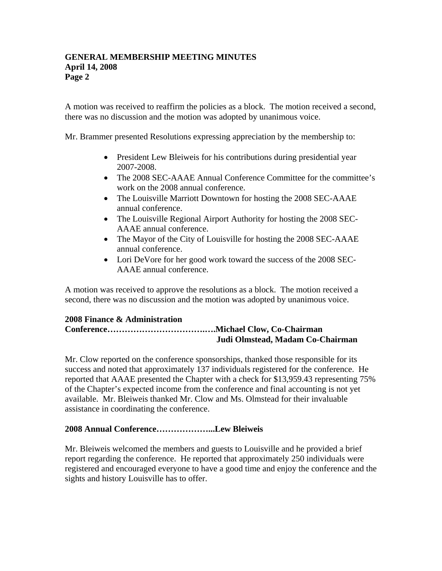A motion was received to reaffirm the policies as a block. The motion received a second, there was no discussion and the motion was adopted by unanimous voice.

Mr. Brammer presented Resolutions expressing appreciation by the membership to:

- President Lew Bleiweis for his contributions during presidential year 2007-2008.
- The 2008 SEC-AAAE Annual Conference Committee for the committee's work on the 2008 annual conference.
- The Louisville Marriott Downtown for hosting the 2008 SEC-AAAE annual conference.
- The Louisville Regional Airport Authority for hosting the 2008 SEC-AAAE annual conference.
- The Mayor of the City of Louisville for hosting the 2008 SEC-AAAE annual conference.
- Lori DeVore for her good work toward the success of the 2008 SEC-AAAE annual conference.

A motion was received to approve the resolutions as a block. The motion received a second, there was no discussion and the motion was adopted by unanimous voice.

# **2008 Finance & Administration**

# **Conference…………………………….….Michael Clow, Co-Chairman Judi Olmstead, Madam Co-Chairman**

Mr. Clow reported on the conference sponsorships, thanked those responsible for its success and noted that approximately 137 individuals registered for the conference. He reported that AAAE presented the Chapter with a check for \$13,959.43 representing 75% of the Chapter's expected income from the conference and final accounting is not yet available. Mr. Bleiweis thanked Mr. Clow and Ms. Olmstead for their invaluable assistance in coordinating the conference.

# **2008 Annual Conference………………...Lew Bleiweis**

Mr. Bleiweis welcomed the members and guests to Louisville and he provided a brief report regarding the conference. He reported that approximately 250 individuals were registered and encouraged everyone to have a good time and enjoy the conference and the sights and history Louisville has to offer.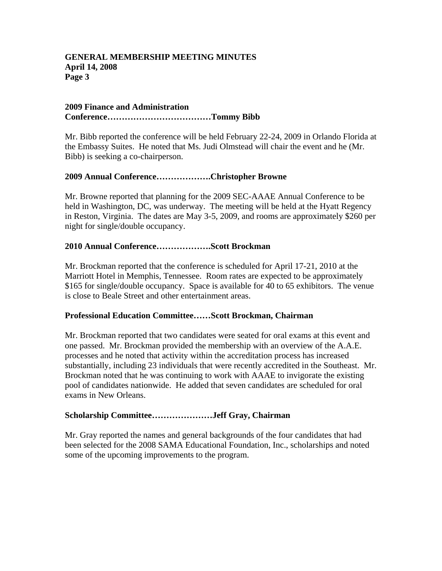### **2009 Finance and Administration Conference………………………………Tommy Bibb**

Mr. Bibb reported the conference will be held February 22-24, 2009 in Orlando Florida at the Embassy Suites. He noted that Ms. Judi Olmstead will chair the event and he (Mr. Bibb) is seeking a co-chairperson.

# **2009 Annual Conference……………….Christopher Browne**

Mr. Browne reported that planning for the 2009 SEC-AAAE Annual Conference to be held in Washington, DC, was underway. The meeting will be held at the Hyatt Regency in Reston, Virginia. The dates are May 3-5, 2009, and rooms are approximately \$260 per night for single/double occupancy.

### **2010 Annual Conference……………….Scott Brockman**

Mr. Brockman reported that the conference is scheduled for April 17-21, 2010 at the Marriott Hotel in Memphis, Tennessee. Room rates are expected to be approximately \$165 for single/double occupancy. Space is available for 40 to 65 exhibitors. The venue is close to Beale Street and other entertainment areas.

#### **Professional Education Committee……Scott Brockman, Chairman**

Mr. Brockman reported that two candidates were seated for oral exams at this event and one passed. Mr. Brockman provided the membership with an overview of the A.A.E. processes and he noted that activity within the accreditation process has increased substantially, including 23 individuals that were recently accredited in the Southeast. Mr. Brockman noted that he was continuing to work with AAAE to invigorate the existing pool of candidates nationwide. He added that seven candidates are scheduled for oral exams in New Orleans.

#### **Scholarship Committee…………………Jeff Gray, Chairman**

Mr. Gray reported the names and general backgrounds of the four candidates that had been selected for the 2008 SAMA Educational Foundation, Inc., scholarships and noted some of the upcoming improvements to the program.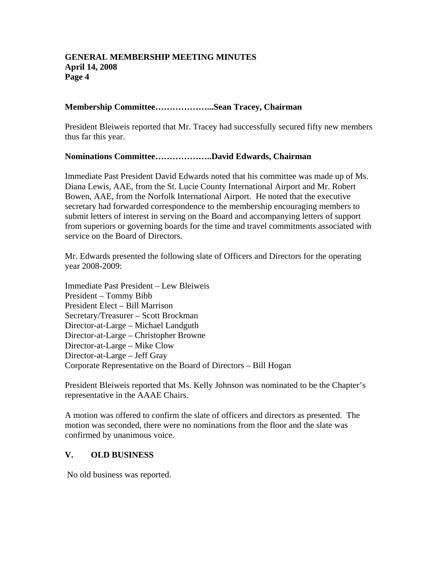### **Membership Committee………………...Sean Tracey, Chairman**

President Bleiweis reported that Mr. Tracey had successfully secured fifty new members thus far this year.

#### **Nominations Committee………………..David Edwards, Chairman**

Immediate Past President David Edwards noted that his committee was made up of Ms. Diana Lewis, AAE, from the St. Lucie County International Airport and Mr. Robert Bowen, AAE, from the Norfolk International Airport. He noted that the executive secretary had forwarded correspondence to the membership encouraging members to submit letters of interest in serving on the Board and accompanying letters of support from superiors or governing boards for the time and travel commitments associated with service on the Board of Directors.

Mr. Edwards presented the following slate of Officers and Directors for the operating year 2008-2009:

Immediate Past President – Lew Bleiweis President – Tommy Bibb President Elect – Bill Marrison Secretary/Treasurer – Scott Brockman Director-at-Large – Michael Landguth Director-at-Large – Christopher Browne Director-at-Large – Mike Clow Director-at-Large – Jeff Gray Corporate Representative on the Board of Directors – Bill Hogan

President Bleiweis reported that Ms. Kelly Johnson was nominated to be the Chapter's representative in the AAAE Chairs.

A motion was offered to confirm the slate of officers and directors as presented. The motion was seconded, there were no nominations from the floor and the slate was confirmed by unanimous voice.

#### **V. OLD BUSINESS**

No old business was reported.